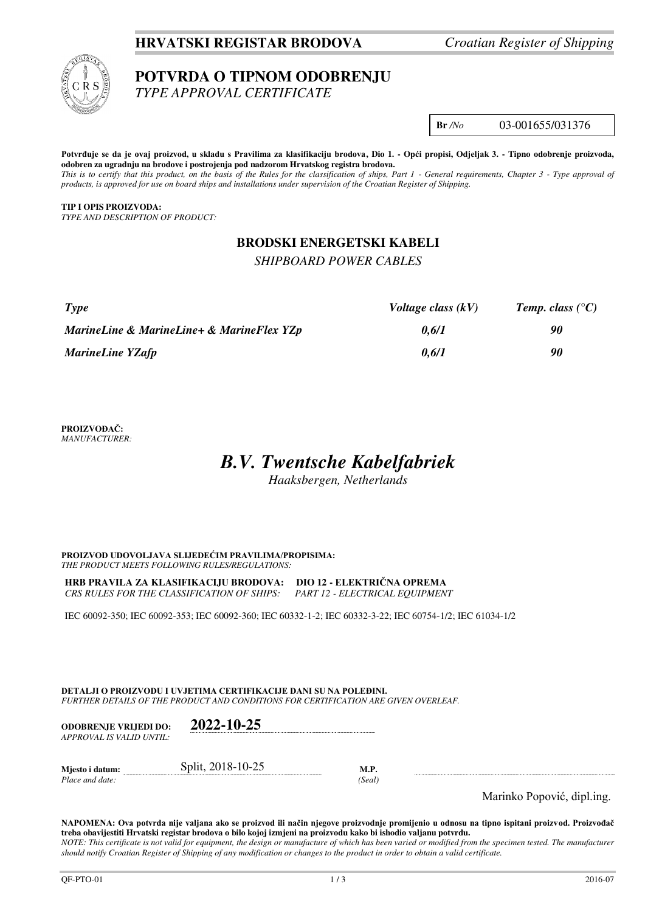# **HRVATSKI REGISTAR BRODOVA** *Croatian Register of Shipping*



# **POTVRDA O TIPNOM ODOBRENJU**

*TYPE APPROVAL CERTIFICATE* 

### **Br** */No* 03-001655/031376

Potvrđuje se da je ovaj proizvod, u skladu s Pravilima za klasifikaciju brodova, Dio 1. - Opći propisi, Odjeljak 3. - Tipno odobrenje proizvoda, **odobren za ugradnju na brodove i postrojenja pod nadzorom Hrvatskog registra brodova.**  *This is to certify that this product, on the basis of the Rules for the classification of ships, Part 1 - General requirements, Chapter 3 - Type approval of products, is approved for use on board ships and installations under supervision of the Croatian Register of Shipping.* 

**TIP I OPIS PROIZVODA:** *TYPE AND DESCRIPTION OF PRODUCT:* 

# **BRODSKI ENERGETSKI KABELI**

### *SHIPBOARD POWER CABLES*

| Type                                      | Voltage class $(kV)$ | Temp. class $(^{\circ}C)$ |
|-------------------------------------------|----------------------|---------------------------|
| MarineLine & MarineLine+ & MarineFlex YZp | 0.6/1                | 90                        |
| <b>MarineLine YZafp</b>                   | 0.6/1                | 90                        |

**PROIZVOĐAČ:** *MANUFACTURER:*

# *B.V. Twentsche Kabelfabriek*

*Haaksbergen, Netherlands*

**PROIZVOD UDOVOLJAVA SLIJEDEĆIM PRAVILIMA/PROPISIMA:** *THE PRODUCT MEETS FOLLOWING RULES/REGULATIONS:* 

**HRB PRAVILA ZA KLASIFIKACIJU BRODOVA: DIO 12 - ELEKTRIČNA OPREMA** *CRS RULES FOR THE CLASSIFICATION OF SHIPS: PART 12 - ELECTRICAL EQUIPMENT* 

IEC 60092-350; IEC 60092-353; IEC 60092-360; IEC 60332-1-2; IEC 60332-3-22; IEC 60754-1/2; IEC 61034-1/2

**DETALJI O PROIZVODU I UVJETIMA CERTIFIKACIJE DANI SU NA POLEĐINI.** *FURTHER DETAILS OF THE PRODUCT AND CONDITIONS FOR CERTIFICATION ARE GIVEN OVERLEAF.* 

| <b>ODOBRENJE VRLJEDI DO:</b><br>APPROVAL IS VALID UNTIL:- | 2022-10-25        |                |  |
|-----------------------------------------------------------|-------------------|----------------|--|
| Mjesto i datum:<br>Place and date:                        | Split, 2018-10-25 | M.P.<br>(Seal) |  |

Marinko Popović, dipl.ing.

**NAPOMENA: Ova potvrda nije valjana ako se proizvod ili način njegove proizvodnje promijenio u odnosu na tipno ispitani proizvod. Proizvođač treba obavijestiti Hrvatski registar brodova o bilo kojoj izmjeni na proizvodu kako bi ishodio valjanu potvrdu.**  *NOTE: This certificate is not valid for equipment, the design or manufacture of which has been varied or modified from the specimen tested. The manufacturer should notify Croatian Register of Shipping of any modification or changes to the product in order to obtain a valid certificate.*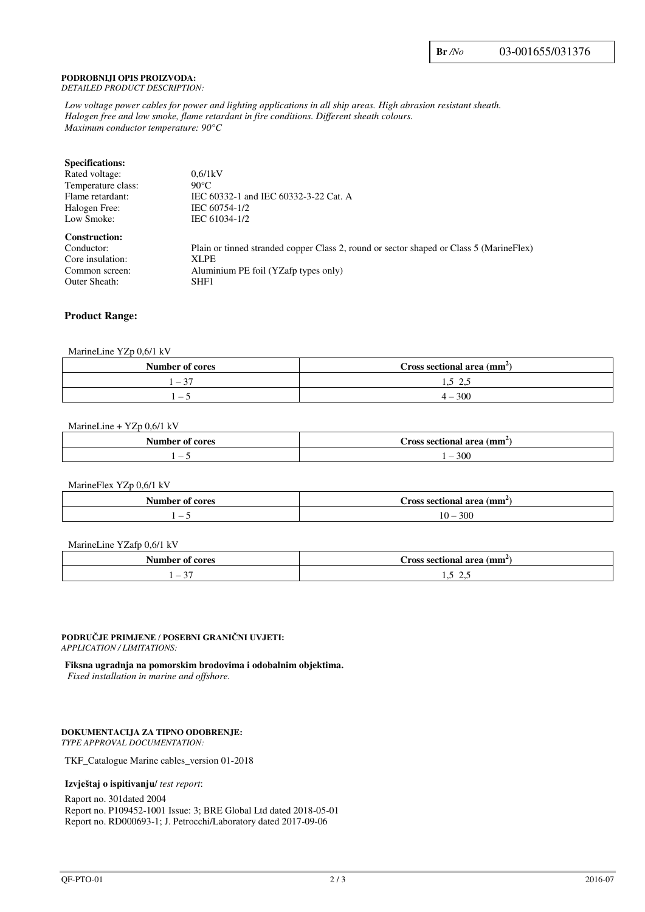#### **PODROBNIJI OPIS PROIZVODA:** *DETAILED PRODUCT DESCRIPTION:*

*Low voltage power cables for power and lighting applications in all ship areas. High abrasion resistant sheath. Halogen free and low smoke, flame retardant in fire conditions. Different sheath colours. Maximum conductor temperature: 90°C*

| 0.6/1kV                                                                                 |
|-----------------------------------------------------------------------------------------|
| $90^{\circ}$ C                                                                          |
| IEC 60332-1 and IEC 60332-3-22 Cat. A                                                   |
| IEC 60754-1/2                                                                           |
| IEC 61034-1/2                                                                           |
|                                                                                         |
| Plain or tinned stranded copper Class 2, round or sector shaped or Class 5 (MarineFlex) |
| <b>XLPE</b>                                                                             |
| Aluminium PE foil (YZafp types only)                                                    |
| SHF1                                                                                    |
|                                                                                         |

#### **Product Range:**

#### MarineLine YZp 0,6/1 kV

| Number of cores                         | Cross sectional area $\text{(mm)}$ |
|-----------------------------------------|------------------------------------|
| $\sim$<br>$\overline{\phantom{a}}$<br>◡ | 1.7<br>ر…                          |
| . —                                     | -300<br>∸ –                        |

#### MarineLine + YZp 0,6/1 kV

| Number of cores          | । (mm<br>Cross sectional area<br>. al Ca |
|--------------------------|------------------------------------------|
| $\overline{\phantom{a}}$ | 300                                      |

#### MarineFlex YZp 0,6/1 kV

| . .<br>Number<br>cores<br>$\mathbf{A}$ | Cross sectional area<br>(mm) |
|----------------------------------------|------------------------------|
|                                        | 300                          |
| $\sim$                                 | 10 –                         |

#### MarineLine YZafp 0,6/1 kV

| ∖հարիօբ<br>cores<br>Оt<br>٦u | area<br>(mm<br>ross sectional |
|------------------------------|-------------------------------|
| $\sim$                       | $\sim$                        |
| $\overline{\phantom{0}}$     | ر. د                          |
|                              | ر…                            |

#### **PODRUČJE PRIMJENE / POSEBNI GRANIČNI UVJETI:** *APPLICATION / LIMITATIONS:*

**Fiksna ugradnja na pomorskim brodovima i odobalnim objektima.** 

*Fixed installation in marine and offshore.*

# **DOKUMENTACIJA ZA TIPNO ODOBRENJE:**

*TYPE APPROVAL DOCUMENTATION:* 

TKF\_Catalogue Marine cables\_version 01-2018

#### **Izvještaj o ispitivanju**/ *test report*:

Raport no. 301dated 2004 Report no. P109452-1001 Issue: 3; BRE Global Ltd dated 2018-05-01 Report no. RD000693-1; J. Petrocchi/Laboratory dated 2017-09-06